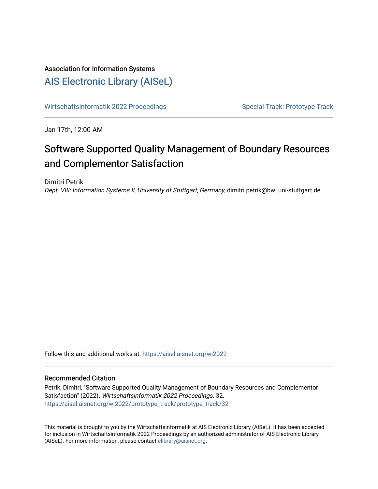# Association for Information Systems

# [AIS Electronic Library \(AISeL\)](https://aisel.aisnet.org/)

[Wirtschaftsinformatik 2022 Proceedings](https://aisel.aisnet.org/wi2022) Special Track: Prototype Track

Jan 17th, 12:00 AM

# Software Supported Quality Management of Boundary Resources and Complementor Satisfaction

Dimitri Petrik

Dept. VIII: Information Systems II, University of Stuttgart, Germany, dimitri.petrik@bwi.uni-stuttgart.de

Follow this and additional works at: [https://aisel.aisnet.org/wi2022](https://aisel.aisnet.org/wi2022?utm_source=aisel.aisnet.org%2Fwi2022%2Fprototype_track%2Fprototype_track%2F32&utm_medium=PDF&utm_campaign=PDFCoverPages) 

### Recommended Citation

Petrik, Dimitri, "Software Supported Quality Management of Boundary Resources and Complementor Satisfaction" (2022). Wirtschaftsinformatik 2022 Proceedings. 32. [https://aisel.aisnet.org/wi2022/prototype\\_track/prototype\\_track/32](https://aisel.aisnet.org/wi2022/prototype_track/prototype_track/32?utm_source=aisel.aisnet.org%2Fwi2022%2Fprototype_track%2Fprototype_track%2F32&utm_medium=PDF&utm_campaign=PDFCoverPages)

This material is brought to you by the Wirtschaftsinformatik at AIS Electronic Library (AISeL). It has been accepted for inclusion in Wirtschaftsinformatik 2022 Proceedings by an authorized administrator of AIS Electronic Library (AISeL). For more information, please contact [elibrary@aisnet.org](mailto:elibrary@aisnet.org%3E).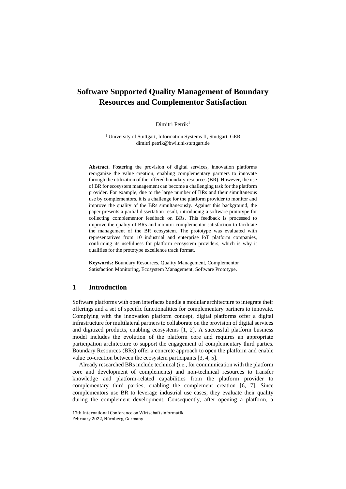# **Software Supported Quality Management of Boundary Resources and Complementor Satisfaction**

Dimitri Petrik<sup>1</sup>

<sup>1</sup> University of Stuttgart, Information Systems II, Stuttgart, GER dimitri.petrik@bwi.uni-stuttgart.de

**Abstract.** Fostering the provision of digital services, innovation platforms reorganize the value creation, enabling complementary partners to innovate through the utilization of the offered boundary resources (BR). However, the use of BR for ecosystem management can become a challenging task for the platform provider. For example, due to the large number of BRs and their simultaneous use by complementors, it is a challenge for the platform provider to monitor and improve the quality of the BRs simultaneously. Against this background, the paper presents a partial dissertation result, introducing a software prototype for collecting complementor feedback on BRs. This feedback is processed to improve the quality of BRs and monitor complementor satisfaction to facilitate the management of the BR ecosystem. The prototype was evaluated with representatives from 10 industrial and enterprise IoT platform companies, confirming its usefulness for platform ecosystem providers, which is why it qualifies for the prototype excellence track format.

**Keywords:** Boundary Resources, Quality Management, Complementor Satisfaction Monitoring, Ecosystem Management, Software Prototype.

## **1 Introduction**

Software platforms with open interfaces bundle a modular architecture to integrate their offerings and a set of specific functionalities for complementary partners to innovate. Complying with the innovation platform concept, digital platforms offer a digital infrastructure for multilateral partners to collaborate on the provision of digital services and digitized products, enabling ecosystems [1, 2]. A successful platform business model includes the evolution of the platform core and requires an appropriate participation architecture to support the engagement of complementary third parties. Boundary Resources (BRs) offer a concrete approach to open the platform and enable value co-creation between the ecosystem participants [3, 4, 5].

Already researched BRs include technical (i.e., for communication with the platform core and development of complements) and non-technical resources to transfer knowledge and platform-related capabilities from the platform provider to complementary third parties, enabling the complement creation [6, 7]. Since complementors use BR to leverage industrial use cases, they evaluate their quality during the complement development. Consequently, after opening a platform, a

<sup>17</sup>th International Conference on Wirtschaftsinformatik, February 2022, Nürnberg, Germany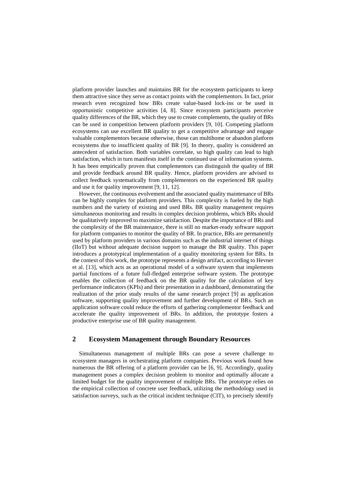platform provider launches and maintains BR for the ecosystem participants to keep them attractive since they serve as contact points with the complementors. In fact, prior research even recognized how BRs create value-based lock-ins or be used in opportunistic competitive activities [4, 8]. Since ecosystem participants perceive quality differences of the BR, which they use to create complements, the quality of BRs can be used in competition between platform providers [9, 10]. Competing platform ecosystems can use excellent BR quality to get a competitive advantage and engage valuable complementors because otherwise, those can multihome or abandon platform ecosystems due to insufficient quality of BR [9]. In theory, quality is considered an antecedent of satisfaction. Both variables correlate, so high quality can lead to high satisfaction, which in turn manifests itself in the continued use of information systems. It has been empirically proven that complementors can distinguish the quality of BR and provide feedback around BR quality. Hence, platform providers are advised to collect feedback systematically from complementors on the experienced BR quality and use it for quality improvement [9, 11, 12].

However, the continuous evolvement and the associated quality maintenance of BRs can be highly complex for platform providers. This complexity is fueled by the high numbers and the variety of existing and used BRs. BR quality management requires simultaneous monitoring and results in complex decision problems, which BRs should be qualitatively improved to maximize satisfaction. Despite the importance of BRs and the complexity of the BR maintenance, there is still no market-ready software support for platform companies to monitor the quality of BR. In practice, BRs are permanently used by platform providers in various domains such as the industrial internet of things (IIoT) but without adequate decision support to manage the BR quality. This paper introduces a prototypical implementation of a quality monitoring system for BRs. In the context of this work, the prototype represents a design artifact, according to Hevner et al. [13], which acts as an operational model of a software system that implements partial functions of a future full-fledged enterprise software system. The prototype enables the collection of feedback on the BR quality for the calculation of key performance indicators (KPIs) and their presentation in a dashboard, demonstrating the realization of the prior study results of the same research project [9] as application software, supporting quality improvement and further development of BRs. Such an application software could reduce the efforts of gathering complementor feedback and accelerate the quality improvement of BRs. In addition, the prototype fosters a productive enterprise use of BR quality management.

#### **2 Ecosystem Management through Boundary Resources**

Simultaneous management of multiple BRs can pose a severe challenge to ecosystem managers in orchestrating platform companies. Previous work found how numerous the BR offering of a platform provider can be [6, 9]. Accordingly, quality management poses a complex decision problem to monitor and optimally allocate a limited budget for the quality improvement of multiple BRs. The prototype relies on the empirical collection of concrete user feedback, utilizing the methodology used in satisfaction surveys, such as the critical incident technique (CIT), to precisely identify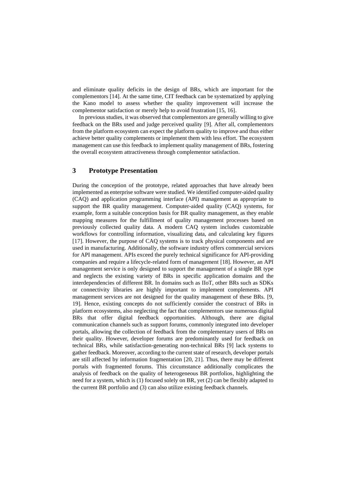and eliminate quality deficits in the design of BRs, which are important for the complementors [14]. At the same time, CIT feedback can be systematized by applying the Kano model to assess whether the quality improvement will increase the complementor satisfaction or merely help to avoid frustration [15, 16].

In previous studies, it was observed that complementors are generally willing to give feedback on the BRs used and judge perceived quality [9]. After all, complementors from the platform ecosystem can expect the platform quality to improve and thus either achieve better quality complements or implement them with less effort. The ecosystem management can use this feedback to implement quality management of BRs, fostering the overall ecosystem attractiveness through complementor satisfaction.

## **3 Prototype Presentation**

During the conception of the prototype, related approaches that have already been implemented as enterprise software were studied. We identified computer-aided quality (CAQ) and application programming interface (API) management as appropriate to support the BR quality management. Computer-aided quality (CAQ) systems, for example, form a suitable conception basis for BR quality management, as they enable mapping measures for the fulfillment of quality management processes based on previously collected quality data. A modern CAQ system includes customizable workflows for controlling information, visualizing data, and calculating key figures [17]. However, the purpose of CAQ systems is to track physical components and are used in manufacturing. Additionally, the software industry offers commercial services for API management. APIs exceed the purely technical significance for API-providing companies and require a lifecycle-related form of management [18]. However, an API management service is only designed to support the management of a single BR type and neglects the existing variety of BRs in specific application domains and the interdependencies of different BR. In domains such as IIoT, other BRs such as SDKs or connectivity libraries are highly important to implement complements. API management services are not designed for the quality management of these BRs. [9, 19]. Hence, existing concepts do not sufficiently consider the construct of BRs in platform ecosystems, also neglecting the fact that complementors use numerous digital BRs that offer digital feedback opportunities. Although, there are digital communication channels such as support forums, commonly integrated into developer portals, allowing the collection of feedback from the complementary users of BRs on their quality. However, developer forums are predominantly used for feedback on technical BRs, while satisfaction-generating non-technical BRs [9] lack systems to gather feedback. Moreover, according to the current state of research, developer portals are still affected by information fragmentation [20, 21]. Thus, there may be different portals with fragmented forums. This circumstance additionally complicates the analysis of feedback on the quality of heterogeneous BR portfolios, highlighting the need for a system, which is (1) focused solely on BR, yet (2) can be flexibly adapted to the current BR portfolio and (3) can also utilize existing feedback channels.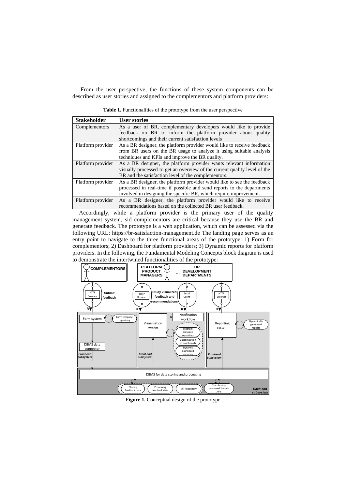From the user perspective, the functions of these system components can be described as user stories and assigned to the complementors and platform providers:

| <b>Stakeholder</b> | <b>User stories</b>                                                       |
|--------------------|---------------------------------------------------------------------------|
| Complementors      | As a user of BR, complementary developers would like to provide           |
|                    | feedback on BR to inform the platform provider about quality              |
|                    | shortcomings and their current satisfaction levels                        |
| Platform provider  | As a BR designer, the platform provider would like to receive feedback    |
|                    | from BR users on the BR usage to analyze it using suitable analysis       |
|                    | techniques and KPIs and improve the BR quality.                           |
| Platform provider  | As a BR designer, the platform provider wants relevant information        |
|                    | visually processed to get an overview of the current quality level of the |
|                    | BR and the satisfaction level of the complementors.                       |
| Platform provider  | As a BR designer, the platform provider would like to see the feedback    |
|                    | processed in real-time if possible and send reports to the departments    |
|                    | involved in designing the specific BR, which require improvement.         |
| Platform provider  | As a BR designer, the platform provider would like to receive             |

**Table 1.** Functionalities of the prototype from the user perspective

Accordingly, while a platform provider is the primary user of the quality management system, sid complementors are critical because they use the BR and generate feedback. The prototype is a web application, which can be assessed via the following URL: [https://br-satisfaction-management.de](https://br-satisfaction-management.de/) The landing page serves as an entry point to navigate to the three functional areas of the prototype: 1) Form for complementors; 2) Dashboard for platform providers; 3) Dynamic reports for platform providers. In the following, the Fundamental Modeling Concepts block diagram is used to demonstrate the intertwined functionalities of the prototype:

recommendations based on the collected BR user feedback.



**Figure 1.** Conceptual design of the prototype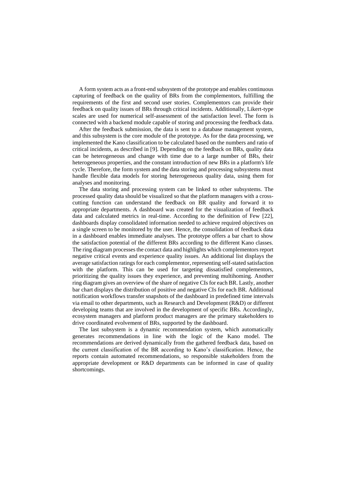A form system acts as a front-end subsystem of the prototype and enables continuous capturing of feedback on the quality of BRs from the complementors, fulfilling the requirements of the first and second user stories. Complementors can provide their feedback on quality issues of BRs through critical incidents. Additionally, Likert-type scales are used for numerical self-assessment of the satisfaction level. The form is connected with a backend module capable of storing and processing the feedback data.

After the feedback submission, the data is sent to a database management system, and this subsystem is the core module of the prototype. As for the data processing, we implemented the Kano classification to be calculated based on the numbers and ratio of critical incidents, as described in [9]. Depending on the feedback on BRs, quality data can be heterogeneous and change with time due to a large number of BRs, their heterogeneous properties, and the constant introduction of new BRs in a platform's life cycle. Therefore, the form system and the data storing and processing subsystems must handle flexible data models for storing heterogeneous quality data, using them for analyses and monitoring.

The data storing and processing system can be linked to other subsystems. The processed quality data should be visualized so that the platform managers with a crosscutting function can understand the feedback on BR quality and forward it to appropriate departments. A dashboard was created for the visualization of feedback data and calculated metrics in real-time. According to the definition of Few [22], dashboards display consolidated information needed to achieve required objectives on a single screen to be monitored by the user. Hence, the consolidation of feedback data in a dashboard enables immediate analyses. The prototype offers a bar chart to show the satisfaction potential of the different BRs according to the different Kano classes. The ring diagram processes the contact data and highlights which complementors report negative critical events and experience quality issues. An additional list displays the average satisfaction ratings for each complementor, representing self-stated satisfaction with the platform. This can be used for targeting dissatisfied complementors, prioritizing the quality issues they experience, and preventing multihoming. Another ring diagram gives an overview of the share of negative CIs for each BR. Lastly, another bar chart displays the distribution of positive and negative CIs for each BR. Additional notification workflows transfer snapshots of the dashboard in predefined time intervals via email to other departments, such as Research and Development (R&D) or different developing teams that are involved in the development of specific BRs. Accordingly, ecosystem managers and platform product managers are the primary stakeholders to drive coordinated evolvement of BRs, supported by the dashboard.

The last subsystem is a dynamic recommendation system, which automatically generates recommendations in line with the logic of the Kano model. The recommendations are derived dynamically from the gathered feedback data, based on the current classification of the BR according to Kano's classification. Hence, the reports contain automated recommendations, so responsible stakeholders from the appropriate development or R&D departments can be informed in case of quality shortcomings.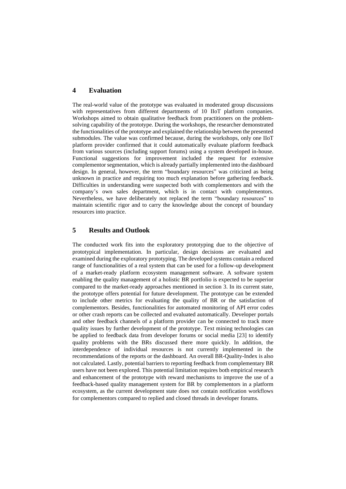## **4 Evaluation**

The real-world value of the prototype was evaluated in moderated group discussions with representatives from different departments of 10 IIoT platform companies. Workshops aimed to obtain qualitative feedback from practitioners on the problemsolving capability of the prototype. During the workshops, the researcher demonstrated the functionalities of the prototype and explained the relationship between the presented submodules. The value was confirmed because, during the workshops, only one IIoT platform provider confirmed that it could automatically evaluate platform feedback from various sources (including support forums) using a system developed in-house. Functional suggestions for improvement included the request for extensive complementor segmentation, which is already partially implemented into the dashboard design. In general, however, the term "boundary resources" was criticized as being unknown in practice and requiring too much explanation before gathering feedback. Difficulties in understanding were suspected both with complementors and with the company's own sales department, which is in contact with complementors. Nevertheless, we have deliberately not replaced the term "boundary resources" to maintain scientific rigor and to carry the knowledge about the concept of boundary resources into practice.

#### **5 Results and Outlook**

The conducted work fits into the exploratory prototyping due to the objective of prototypical implementation. In particular, design decisions are evaluated and examined during the exploratory prototyping. The developed systems contain a reduced range of functionalities of a real system that can be used for a follow-up development of a market-ready platform ecosystem management software. A software system enabling the quality management of a holistic BR portfolio is expected to be superior compared to the market-ready approaches mentioned in section 3. In its current state, the prototype offers potential for future development. The prototype can be extended to include other metrics for evaluating the quality of BR or the satisfaction of complementors. Besides, functionalities for automated monitoring of API error codes or other crash reports can be collected and evaluated automatically. Developer portals and other feedback channels of a platform provider can be connected to track more quality issues by further development of the prototype. Text mining technologies can be applied to feedback data from developer forums or social media [23] to identify quality problems with the BRs discussed there more quickly. In addition, the interdependence of individual resources is not currently implemented in the recommendations of the reports or the dashboard. An overall BR-Quality-Index is also not calculated. Lastly, potential barriers to reporting feedback from complementary BR users have not been explored. This potential limitation requires both empirical research and enhancement of the prototype with reward mechanisms to improve the use of a feedback-based quality management system for BR by complementors in a platform ecosystem, as the current development state does not contain notification workflows for complementors compared to replied and closed threads in developer forums.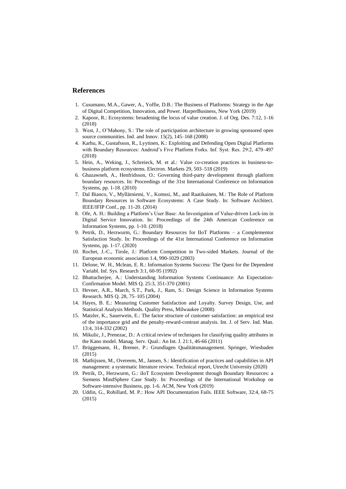#### **References**

- 1. Cusumano, M.A., Gawer, A., Yoffie, D.B.: The Business of Platforms: Strategy in the Age of Digital Competition, Innovation, and Power. HarperBusiness, New York (2019)
- 2. Kapoor, R.: Ecosystems: broadening the locus of value creation. J. of Org. Des. 7:12, 1-16 (2018)
- 3. West, J., O'Mahony, S.: The role of participation architecture in growing sponsored open source communities. Ind. and Innov. 15(2), 145–168 (2008)
- 4. Karhu, K., Gustafsson, R., Lyytinen, K.: Exploiting and Defending Open Digital Platforms with Boundary Resources: Android's Five Platform Forks. Inf. Syst. Res. 29:2, 479–497 (2018)
- 5. Hein, A., Weking, J., Schreieck, M. et al.: Value co-creation practices in business-tobusiness platform ecosystems. Electron. Markets 29, 503–518 (2019)
- 6. Ghazawneh, A., Henfridsson, O.: Governing third-party development through platform boundary resources. In: Proceedings of the 31st International Conference on Information Systems, pp. 1-18. (2010)
- 7. Dal Bianco, V., Myllärniemi, V., Komssi, M., and Raatikainen, M.: The Role of Platform Boundary Resources in Software Ecosystems: A Case Study. In: Software Architect. IEEE/IFIP Conf., pp. 11-20. (2014)
- 8. Ofe, A. H.: Building a Platform's User Base: An Investigation of Value-driven Lock-ins in Digital Service Innovation. In: Proceedings of the 24th American Conference on Information Systems, pp. 1-10. (2018)
- 9. Petrik, D., Herzwurm, G.: Boundary Resources for IIoT Platforms a Complementor Satisfaction Study. In: Proceedings of the 41st International Conference on Information Systems, pp. 1-17. (2020)
- 10. Rochet, J.-C., Tirole, J.: Platform Competition in Two-sided Markets. Journal of the European economic association 1.4, 990-1029 (2003)
- 11. Delone, W. H., Mclean, E. R.: Information Systems Success: The Quest for the Dependent Variabl. Inf. Sys. Research 3:1, 60-95 (1992)
- 12. Bhattacherjee, A.: Understanding Information Systems Continuance: An Expectation-Confirmation Model. MIS Q. 25:3, 351-370 (2001)
- 13. Hevner, A.R., March, S.T., Park, J., Ram, S.: Design Science in Information Systems Research. MIS Q. 28, 75–105 (2004)
- 14. Hayes, B. E.: Measuring Customer Satisfaction and Loyalty. Survey Design, Use, and Statistical Analysis Methods. Quality Press, Milwaukee (2008)
- 15. Matzler, K., Sauerwein, E.: The factor structure of customer satisfaction: an empirical test of the importance grid and the penalty-reward-contrast analysis. Int. J. of Serv. Ind. Man. 13:4, 314-332 (2002)
- 16. Mikulic, J., Prenezac, D.: A critical review of techniques for classifying quality attributes in the Kano model. Manag. Serv. Qual.: An Int. J. 21:1, 46-66 (2011)
- 17. Brüggemann, H., Bremer, P.: Grundlagen Qualitätsmanagement. Springer, Wiesbaden  $(2015)$
- 18. Mathijssen, M., Overeem, M., Jansen, S.: Identification of practices and capabilities in API management: a systematic literature review. Technical report, Utrecht University (2020)
- 19. Petrik, D., Herzwurm, G.: iIoT Ecosystem Development through Boundary Resources: a Siemens MindSphere Case Study. In: Proceedings of the International Workshop on Software-intensive Business, pp. 1-6. ACM, New York (2019)
- 20. Uddin, G., Robillard, M. P.: How API Documentation Fails. IEEE Software, 32:4, 68-75 (2015)